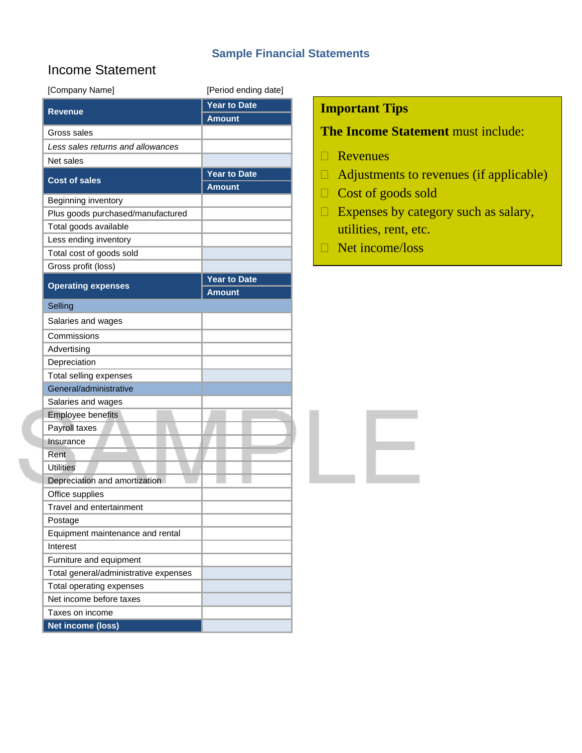### **Sample Financial Statements**

# Income Statement

| [Company Name]                        | [Period ending date] |
|---------------------------------------|----------------------|
| <b>Revenue</b>                        | <b>Year to Date</b>  |
|                                       | <b>Amount</b>        |
| Gross sales                           |                      |
| Less sales returns and allowances     |                      |
| Net sales                             |                      |
|                                       | Year to Date         |
| <b>Cost of sales</b>                  | <b>Amount</b>        |
| Beginning inventory                   |                      |
| Plus goods purchased/manufactured     |                      |
| Total goods available                 |                      |
| Less ending inventory                 |                      |
| Total cost of goods sold              |                      |
| Gross profit (loss)                   |                      |
| <b>Operating expenses</b>             | <b>Year to Date</b>  |
|                                       | <b>Amount</b>        |
| Selling                               |                      |
| Salaries and wages                    |                      |
| Commissions                           |                      |
| Advertising                           |                      |
| Depreciation                          |                      |
| Total selling expenses                |                      |
| General/administrative                |                      |
| Salaries and wages                    |                      |
| Employee benefits                     |                      |
| Payroll taxes                         |                      |
| Insurance                             |                      |
| Rent                                  |                      |
| <b>Utilities</b>                      |                      |
| Depreciation and amortization         |                      |
| Office supplies                       |                      |
| Travel and entertainment              |                      |
| Postage                               |                      |
| Equipment maintenance and rental      |                      |
| Interest                              |                      |
| Furniture and equipment               |                      |
| Total general/administrative expenses |                      |
| Total operating expenses              |                      |
| Net income before taxes               |                      |
| Taxes on income                       |                      |
| <b>Net income (loss)</b>              |                      |

## **Important Tips**

# **The Income Statement** must include:

- Revenues
- $\Box$  Adjustments to revenues (if applicable)
- Cost of goods sold
- $\Box$  Expenses by category such as salary, utilities, rent, etc.
- Net income/loss

. H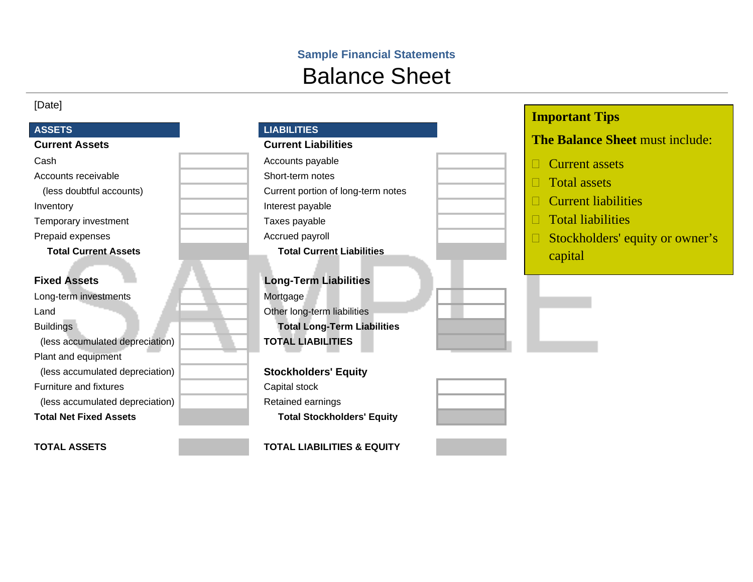# **Sample Financial Statements**  Balance Sheet

### [Date]

### ASSETS

| Accounts receivable |  |
|---------------------|--|
|                     |  |

Temporary investment Temporary investment

Prepaid expenses and a set of the Accrued payroll

Long-term investments and a state of the Mortgage Land **Canadian Communist Communist Communist Communist Communist Communist Communist Communist Communist Communist Communist Communist Communist Communist Communist Communist Communist Communist Communist Communist Communi** Buildings **Total Long-Term Liabilities**  (less accumulated depreciation) **TOTAL LIABILITIES**  Plant and equipment (less accumulated depreciation) **Stockholders' Equity**  Furniture and fixtures **Capital stock** (less accumulated depreciation) Retained earnings

| <b>LIABILITIES</b> |  |
|--------------------|--|
|--------------------|--|

# **Current Assets Current Liabilities** Cash **Cash Accounts payable** Short-term notes (less doubtful accounts) Current portion of long-term notes Inventory **Interest payable Total Current Assets Total Current Liabilities**

**Fixed Assets Long-Term Liabilities** 

**Total Net Fixed Assets Total Stockholders' Equity** 

**TOTAL ASSETS TOTAL LIABILITIES & EQUITY** 

| <b>The Balance Sheet must include:</b> |
|----------------------------------------|
| $\Box$ Current assets                  |
| $\Box$ Total assets                    |
| $\Box$ Current liabilities             |
| $\Box$ Total liabilities               |
| Stockholders' equity or owner's<br>H   |
| capital                                |
|                                        |

**Important Tips**